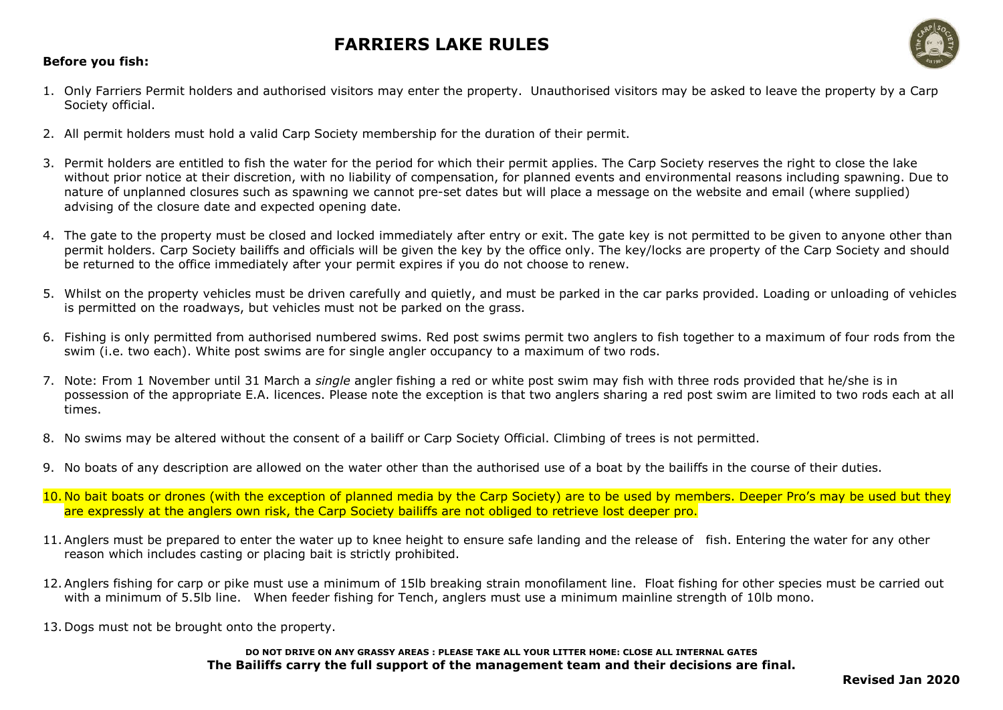### **Before you fish:**

- 1. Only Farriers Permit holders and authorised visitors may enter the property. Unauthorised visitors may be asked to leave the property by a Carp Society official.
- 2. All permit holders must hold a valid Carp Society membership for the duration of their permit.
- 3. Permit holders are entitled to fish the water for the period for which their permit applies. The Carp Society reserves the right to close the lake without prior notice at their discretion, with no liability of compensation, for planned events and environmental reasons including spawning. Due to nature of unplanned closures such as spawning we cannot pre-set dates but will place a message on the website and email (where supplied) advising of the closure date and expected opening date.
- 4. The gate to the property must be closed and locked immediately after entry or exit. The gate key is not permitted to be given to anyone other than permit holders. Carp Society bailiffs and officials will be given the key by the office only. The key/locks are property of the Carp Society and should be returned to the office immediately after your permit expires if you do not choose to renew.
- 5. Whilst on the property vehicles must be driven carefully and quietly, and must be parked in the car parks provided. Loading or unloading of vehicles is permitted on the roadways, but vehicles must not be parked on the grass.
- 6. Fishing is only permitted from authorised numbered swims. Red post swims permit two anglers to fish together to a maximum of four rods from the swim (i.e. two each). White post swims are for single angler occupancy to a maximum of two rods.
- 7. Note: From 1 November until 31 March a *single* angler fishing a red or white post swim may fish with three rods provided that he/she is in possession of the appropriate E.A. licences. Please note the exception is that two anglers sharing a red post swim are limited to two rods each at all times.
- 8. No swims may be altered without the consent of a bailiff or Carp Society Official. Climbing of trees is not permitted.
- 9. No boats of any description are allowed on the water other than the authorised use of a boat by the bailiffs in the course of their duties.
- 10. No bait boats or drones (with the exception of planned media by the Carp Society) are to be used by members. Deeper Pro's may be used but they are expressly at the anglers own risk, the Carp Society bailiffs are not obliged to retrieve lost deeper pro.
- 11. Anglers must be prepared to enter the water up to knee height to ensure safe landing and the release of fish. Entering the water for any other reason which includes casting or placing bait is strictly prohibited.
- 12. Anglers fishing for carp or pike must use a minimum of 15lb breaking strain monofilament line. Float fishing for other species must be carried out with a minimum of 5.5lb line. When feeder fishing for Tench, anglers must use a minimum mainline strength of 10lb mono.
- 13. Dogs must not be brought onto the property.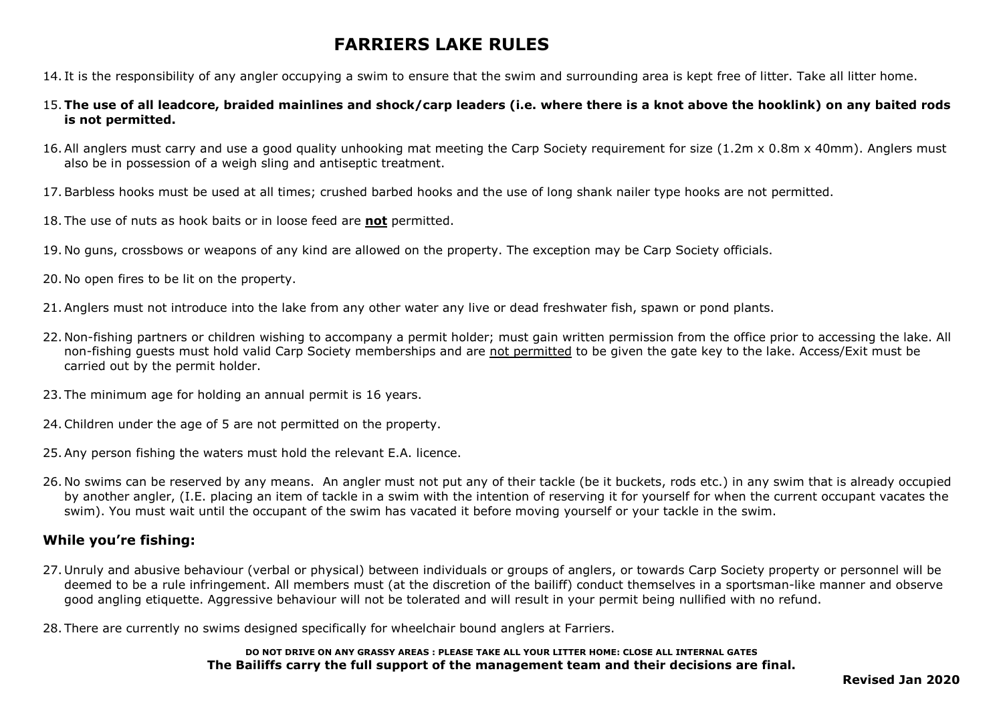14. It is the responsibility of any angler occupying a swim to ensure that the swim and surrounding area is kept free of litter. Take all litter home.

- 15. **The use of all leadcore, braided mainlines and shock/carp leaders (i.e. where there is a knot above the hooklink) on any baited rods is not permitted.**
- 16. All anglers must carry and use a good quality unhooking mat meeting the Carp Society requirement for size (1.2m x 0.8m x 40mm). Anglers must also be in possession of a weigh sling and antiseptic treatment.
- 17. Barbless hooks must be used at all times; crushed barbed hooks and the use of long shank nailer type hooks are not permitted.
- 18. The use of nuts as hook baits or in loose feed are **not** permitted.
- 19. No guns, crossbows or weapons of any kind are allowed on the property. The exception may be Carp Society officials.
- 20. No open fires to be lit on the property.
- 21. Anglers must not introduce into the lake from any other water any live or dead freshwater fish, spawn or pond plants.
- 22. Non-fishing partners or children wishing to accompany a permit holder; must gain written permission from the office prior to accessing the lake. All non-fishing guests must hold valid Carp Society memberships and are not permitted to be given the gate key to the lake. Access/Exit must be carried out by the permit holder.
- 23. The minimum age for holding an annual permit is 16 years.
- 24.Children under the age of 5 are not permitted on the property.
- 25. Any person fishing the waters must hold the relevant E.A. licence.
- 26. No swims can be reserved by any means. An angler must not put any of their tackle (be it buckets, rods etc.) in any swim that is already occupied by another angler, (I.E. placing an item of tackle in a swim with the intention of reserving it for yourself for when the current occupant vacates the swim). You must wait until the occupant of the swim has vacated it before moving yourself or your tackle in the swim.

### **While you're fishing:**

- 27. Unruly and abusive behaviour (verbal or physical) between individuals or groups of anglers, or towards Carp Society property or personnel will be deemed to be a rule infringement. All members must (at the discretion of the bailiff) conduct themselves in a sportsman-like manner and observe good angling etiquette. Aggressive behaviour will not be tolerated and will result in your permit being nullified with no refund.
- 28. There are currently no swims designed specifically for wheelchair bound anglers at Farriers.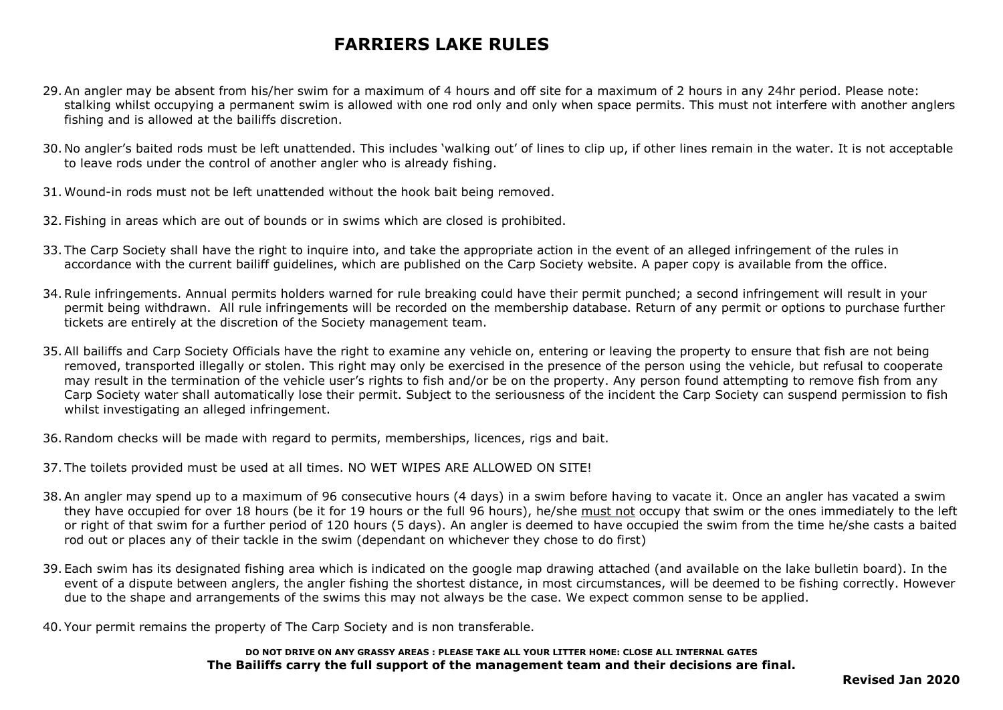- 29. An angler may be absent from his/her swim for a maximum of 4 hours and off site for a maximum of 2 hours in any 24hr period. Please note: stalking whilst occupying a permanent swim is allowed with one rod only and only when space permits. This must not interfere with another anglers fishing and is allowed at the bailiffs discretion.
- 30. No angler's baited rods must be left unattended. This includes 'walking out' of lines to clip up, if other lines remain in the water. It is not acceptable to leave rods under the control of another angler who is already fishing.
- 31. Wound-in rods must not be left unattended without the hook bait being removed.
- 32. Fishing in areas which are out of bounds or in swims which are closed is prohibited.
- 33. The Carp Society shall have the right to inquire into, and take the appropriate action in the event of an alleged infringement of the rules in accordance with the current bailiff guidelines, which are published on the Carp Society website. A paper copy is available from the office.
- 34.Rule infringements. Annual permits holders warned for rule breaking could have their permit punched; a second infringement will result in your permit being withdrawn. All rule infringements will be recorded on the membership database. Return of any permit or options to purchase further tickets are entirely at the discretion of the Society management team.
- 35. All bailiffs and Carp Society Officials have the right to examine any vehicle on, entering or leaving the property to ensure that fish are not being removed, transported illegally or stolen. This right may only be exercised in the presence of the person using the vehicle, but refusal to cooperate may result in the termination of the vehicle user's rights to fish and/or be on the property. Any person found attempting to remove fish from any Carp Society water shall automatically lose their permit. Subject to the seriousness of the incident the Carp Society can suspend permission to fish whilst investigating an alleged infringement.
- 36.Random checks will be made with regard to permits, memberships, licences, rigs and bait.
- 37. The toilets provided must be used at all times. NO WET WIPES ARE ALLOWED ON SITE!
- 38. An angler may spend up to a maximum of 96 consecutive hours (4 days) in a swim before having to vacate it. Once an angler has vacated a swim they have occupied for over 18 hours (be it for 19 hours or the full 96 hours), he/she must not occupy that swim or the ones immediately to the left or right of that swim for a further period of 120 hours (5 days). An angler is deemed to have occupied the swim from the time he/she casts a baited rod out or places any of their tackle in the swim (dependant on whichever they chose to do first)
- 39. Each swim has its designated fishing area which is indicated on the google map drawing attached (and available on the lake bulletin board). In the event of a dispute between anglers, the angler fishing the shortest distance, in most circumstances, will be deemed to be fishing correctly. However due to the shape and arrangements of the swims this may not always be the case. We expect common sense to be applied.
- 40. Your permit remains the property of The Carp Society and is non transferable.